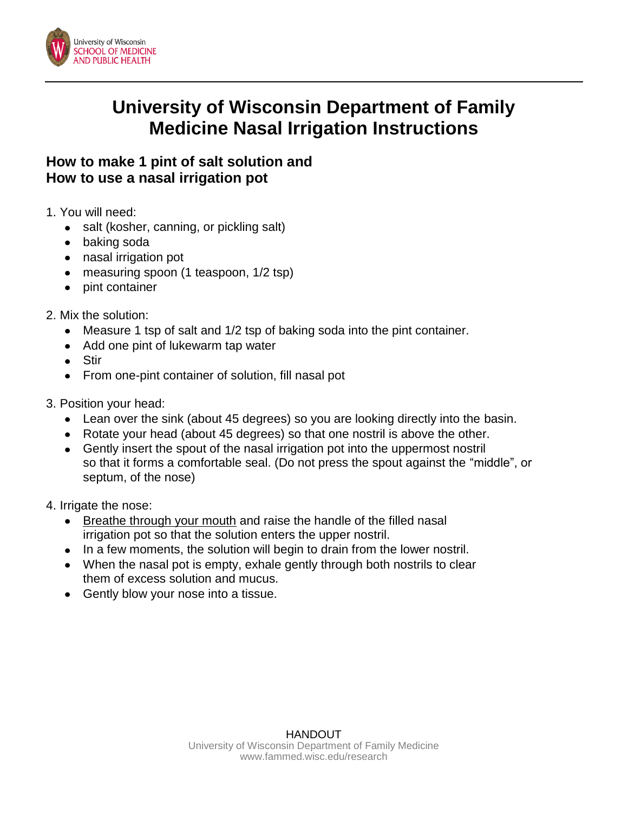

## **University of Wisconsin Department of Family Medicine Nasal Irrigation Instructions**

## **How to make 1 pint of salt solution and How to use a nasal irrigation pot**

- 1. You will need:
	- salt (kosher, canning, or pickling salt)
	- baking soda
	- nasal irrigation pot
	- measuring spoon (1 teaspoon, 1/2 tsp)
	- pint container  $\bullet$
- 2. Mix the solution:
	- Measure 1 tsp of salt and 1/2 tsp of baking soda into the pint container.
	- Add one pint of lukewarm tap water
	- Stir
	- From one-pint container of solution, fill nasal pot  $\bullet$
- 3. Position your head:
	- Lean over the sink (about 45 degrees) so you are looking directly into the basin.
	- Rotate your head (about 45 degrees) so that one nostril is above the other.
	- Gently insert the spout of the nasal irrigation pot into the uppermost nostril so that it forms a comfortable seal. (Do not press the spout against the "middle", or septum, of the nose)
- 4. Irrigate the nose:
	- Breathe through your mouth and raise the handle of the filled nasal irrigation pot so that the solution enters the upper nostril.
	- In a few moments, the solution will begin to drain from the lower nostril.
	- When the nasal pot is empty, exhale gently through both nostrils to clear them of excess solution and mucus.
	- Gently blow your nose into a tissue.